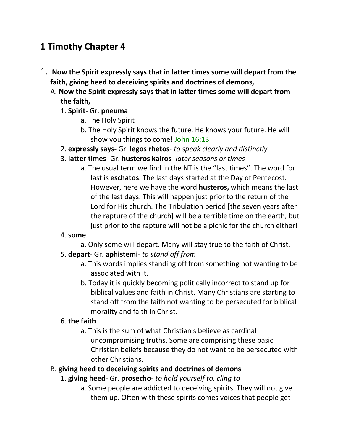# **1 Timothy Chapter 4**

- 1. **Now the Spirit expressly says that in latter times some will depart from the faith, giving heed to deceiving spirits and doctrines of demons,** 
	- A. **Now the Spirit expressly says that in latter times some will depart from the faith,**

## 1. **Spirit-** Gr. **pneuma**

- a. The Holy Spirit
- b. The Holy Spirit knows the future. He knows your future. He will show you things to come! John 16:13
- 2. **expressly says-** Gr. **legos rhetos** *to speak clearly and distinctly*
- 3. **latter times** Gr. **husteros kairos-** *later seasons or times*
	- a. The usual term we find in the NT is the "last times". The word for last is **eschatos**. The last days started at the Day of Pentecost. However, here we have the word **husteros,** which means the last of the last days. This will happen just prior to the return of the Lord for His church. The Tribulation period [the seven years after the rapture of the church] will be a terrible time on the earth, but just prior to the rapture will not be a picnic for the church either!

## 4. **some**

a. Only some will depart. Many will stay true to the faith of Christ.

## 5. **depart**- Gr. **aphistemi**- *to stand off from*

- a. This words implies standing off from something not wanting to be associated with it.
- b. Today it is quickly becoming politically incorrect to stand up for biblical values and faith in Christ. Many Christians are starting to stand off from the faith not wanting to be persecuted for biblical morality and faith in Christ.

## 6. **the faith**

a. This is the sum of what Christian's believe as cardinal uncompromising truths. Some are comprising these basic Christian beliefs because they do not want to be persecuted with other Christians.

## B. **giving heed to deceiving spirits and doctrines of demons**

- 1. **giving heed** Gr. **prosecho** *to hold yourself to, cling to*
	- a. Some people are addicted to deceiving spirits. They will not give them up. Often with these spirits comes voices that people get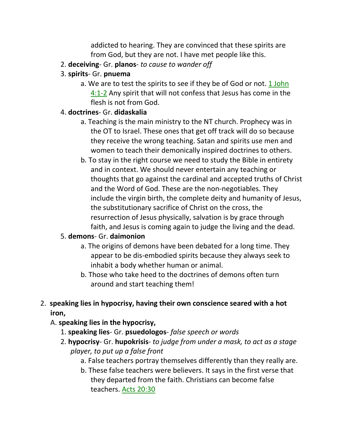addicted to hearing. They are convinced that these spirits are from God, but they are not. I have met people like this.

- 2. **deceiving** Gr. **planos** *to cause to wander off*
- 3. **spirits** Gr. **pnuema**
	- a. We are to test the spirits to see if they be of God or not. 1 John 4:1-2 Any spirit that will not confess that Jesus has come in the flesh is not from God.

#### 4. **doctrines**- Gr. **didaskalia**

- a. Teaching is the main ministry to the NT church. Prophecy was in the OT to Israel. These ones that get off track will do so because they receive the wrong teaching. Satan and spirits use men and women to teach their demonically inspired doctrines to others.
- b. To stay in the right course we need to study the Bible in entirety and in context. We should never entertain any teaching or thoughts that go against the cardinal and accepted truths of Christ and the Word of God. These are the non-negotiables. They include the virgin birth, the complete deity and humanity of Jesus, the substitutionary sacrifice of Christ on the cross, the resurrection of Jesus physically, salvation is by grace through faith, and Jesus is coming again to judge the living and the dead.

## 5. **demons**- Gr. **daimonion**

- a. The origins of demons have been debated for a long time. They appear to be dis-embodied spirits because they always seek to inhabit a body whether human or animal.
- b. Those who take heed to the doctrines of demons often turn around and start teaching them!

## 2. **speaking lies in hypocrisy, having their own conscience seared with a hot iron,**

## A. **speaking lies in the hypocrisy,**

- 1. **speaking lies** Gr. **psuedologos** *false speech or words*
- 2. **hypocrisy** Gr. **hupokrisis** *to judge from under a mask, to act as a stage player, to put up a false front*
	- a. False teachers portray themselves differently than they really are.
	- b. These false teachers were believers. It says in the first verse that they departed from the faith. Christians can become false teachers. Acts 20:30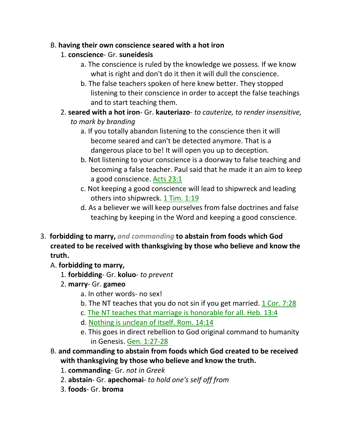## B. **having their own conscience seared with a hot iron**

- 1. **conscience** Gr. **suneidesis**
	- a. The conscience is ruled by the knowledge we possess. If we know what is right and don't do it then it will dull the conscience.
	- b. The false teachers spoken of here knew better. They stopped listening to their conscience in order to accept the false teachings and to start teaching them.
- 2. **seared with a hot iron** Gr. **kauteriazo** *to cauterize, to render insensitive, to mark by branding*
	- a. If you totally abandon listening to the conscience then it will become seared and can't be detected anymore. That is a dangerous place to be! It will open you up to deception.
	- b. Not listening to your conscience is a doorway to false teaching and becoming a false teacher. Paul said that he made it an aim to keep a good conscience. Acts 23:1
	- c. Not keeping a good conscience will lead to shipwreck and leading others into shipwreck. 1 Tim. 1:19
	- d. As a believer we will keep ourselves from false doctrines and false teaching by keeping in the Word and keeping a good conscience.
- 3. **forbidding to marry,** *and commanding* **to abstain from foods which God created to be received with thanksgiving by those who believe and know the truth.** 
	- A. **forbidding to marry,**
		- 1. **forbidding** Gr. **koluo** *to prevent*
		- 2. **marry** Gr. **gameo**
			- a. In other words- no sex!
			- b. The NT teaches that you do not sin if you get married. 1 Cor. 7:28
			- c. The NT teaches that marriage is honorable for all. Heb. 13:4
			- d. Nothing is unclean of itself. Rom. 14:14
			- e. This goes in direct rebellion to God original command to humanity in Genesis. Gen. 1:27-28
	- B. **and commanding to abstain from foods which God created to be received with thanksgiving by those who believe and know the truth.**
		- 1. **commanding** Gr. *not in Greek*
		- 2. **abstain** Gr. **apechomai** *to hold one's self off from*
		- 3. **foods** Gr. **broma**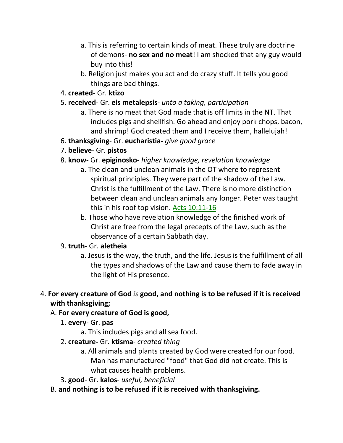- a. This is referring to certain kinds of meat. These truly are doctrine of demons- **no sex and no meat**! I am shocked that any guy would buy into this!
- b. Religion just makes you act and do crazy stuff. It tells you good things are bad things.

#### 4. **created**- Gr. **ktizo**

#### 5. **received**- Gr. **eis metalepsis**- *unto a taking, participation*

- a. There is no meat that God made that is off limits in the NT. That includes pigs and shellfish. Go ahead and enjoy pork chops, bacon, and shrimp! God created them and I receive them, hallelujah!
- 6. **thanksgiving** Gr. **eucharistia-** *give good grace*

## 7. **believe**- Gr. **pistos**

## 8. **know**- Gr. **epiginosko**- *higher knowledge, revelation knowledge*

- a. The clean and unclean animals in the OT where to represent spiritual principles. They were part of the shadow of the Law. Christ is the fulfillment of the Law. There is no more distinction between clean and unclean animals any longer. Peter was taught this in his roof top vision. Acts 10:11-16
- b. Those who have revelation knowledge of the finished work of Christ are free from the legal precepts of the Law, such as the observance of a certain Sabbath day.

## 9. **truth**- Gr. **aletheia**

a. Jesus is the way, the truth, and the life. Jesus is the fulfillment of all the types and shadows of the Law and cause them to fade away in the light of His presence.

## 4. **For every creature of God** *is* **good, and nothing is to be refused if it is received with thanksgiving;**

## A. **For every creature of God is good,**

- 1. **every** Gr. **pas**
	- a. This includes pigs and all sea food.
- 2. **creature-** Gr. **ktisma** *created thing*
	- a. All animals and plants created by God were created for our food. Man has manufactured "food" that God did not create. This is what causes health problems.
- 3. **good** Gr. **kalos** *useful, beneficial*
- B. **and nothing is to be refused if it is received with thanksgiving.**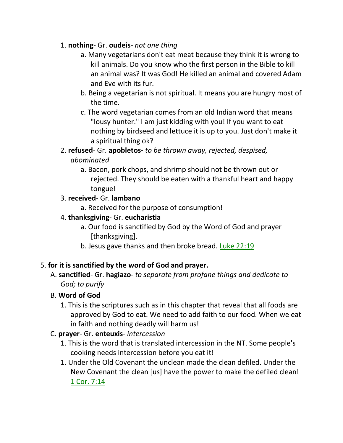## 1. **nothing**- Gr. **oudeis**- *not one thing*

- a. Many vegetarians don't eat meat because they think it is wrong to kill animals. Do you know who the first person in the Bible to kill an animal was? It was God! He killed an animal and covered Adam and Eve with its fur.
- b. Being a vegetarian is not spiritual. It means you are hungry most of the time.
- c. The word vegetarian comes from an old Indian word that means "lousy hunter." I am just kidding with you! If you want to eat nothing by birdseed and lettuce it is up to you. Just don't make it a spiritual thing ok?

## 2. **refused**- Gr. **apobletos-** *to be thrown away, rejected, despised, abominated*

a. Bacon, pork chops, and shrimp should not be thrown out or rejected. They should be eaten with a thankful heart and happy tongue!

## 3. **received**- Gr. **lambano**

a. Received for the purpose of consumption!

## 4. **thanksgiving**- Gr. **eucharistia**

- a. Our food is sanctified by God by the Word of God and prayer [thanksgiving].
- b. Jesus gave thanks and then broke bread. Luke 22:19

## 5. **for it is sanctified by the word of God and prayer.**

A. **sanctified**- Gr. **hagiazo**- *to separate from profane things and dedicate to God; to purify*

## B. **Word of God**

1. This is the scriptures such as in this chapter that reveal that all foods are approved by God to eat. We need to add faith to our food. When we eat in faith and nothing deadly will harm us!

## C. **prayer**- Gr. **enteuxis**- *intercession*

- 1. This is the word that is translated intercession in the NT. Some people's cooking needs intercession before you eat it!
- 1. Under the Old Covenant the unclean made the clean defiled. Under the New Covenant the clean [us] have the power to make the defiled clean! 1 Cor. 7:14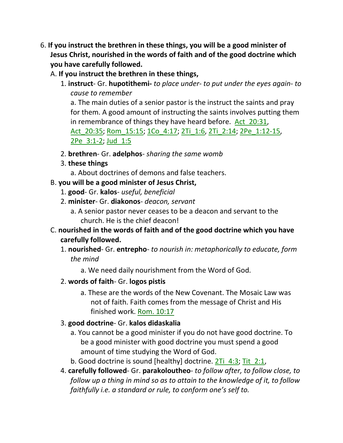- 6. **If you instruct the brethren in these things, you will be a good minister of Jesus Christ, nourished in the words of faith and of the good doctrine which you have carefully followed.** 
	- A. **If you instruct the brethren in these things,**
		- 1. **instruct** Gr. **hupotithemi-** *to place under- to put under the eyes again- to cause to remember* a. The main duties of a senior pastor is the instruct the saints and pray for them. A good amount of instructing the saints involves putting them in remembrance of things they have heard before. Act 20:31, Act 20:35; Rom 15:15; 1Co 4:17; 2Ti 1:6, 2Ti 2:14; 2Pe 1:12-15, 2Pe 3:1-2; Jud 1:5
		- 2. **brethren** Gr. **adelphos** *sharing the same womb*
		- 3. **these things**
			- a. About doctrines of demons and false teachers.
	- B. **you will be a good minister of Jesus Christ,**
		- 1. **good** Gr. **kalos** *useful, beneficial*
		- 2. **minister** Gr. **diakonos** *deacon, servant*
			- a. A senior pastor never ceases to be a deacon and servant to the church. He is the chief deacon!
	- C. **nourished in the words of faith and of the good doctrine which you have carefully followed.**
		- 1. **nourished** Gr. **entrepho** *to nourish in: metaphorically to educate, form the mind*
			- a. We need daily nourishment from the Word of God.
		- 2. **words of faith** Gr. **logos pistis**
			- a. These are the words of the New Covenant. The Mosaic Law was not of faith. Faith comes from the message of Christ and His finished work. Rom. 10:17
		- 3. **good doctrine** Gr. **kalos didaskalia**
			- a. You cannot be a good minister if you do not have good doctrine. To be a good minister with good doctrine you must spend a good amount of time studying the Word of God.
			- b. Good doctrine is sound [healthy] doctrine. 2Ti 4:3; Tit 2:1,
		- 4. **carefully followed** Gr. **parakoloutheo** *to follow after, to follow close, to follow up a thing in mind so as to attain to the knowledge of it, to follow faithfully i.e. a standard or rule, to conform one's self to.*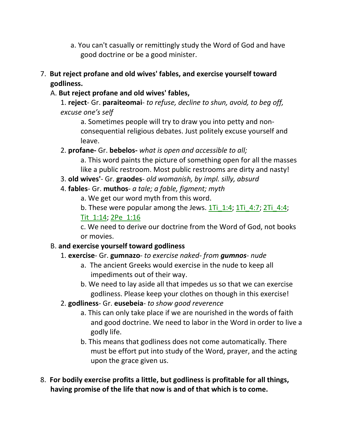- a. You can't casually or remittingly study the Word of God and have good doctrine or be a good minister.
- 7. **But reject profane and old wives' fables, and exercise yourself toward godliness.** 
	- A. **But reject profane and old wives' fables,**
		- 1. **reject** Gr. **paraiteomai** *to refuse, decline to shun, avoid, to beg off, excuse one's self*

a. Sometimes people will try to draw you into petty and nonconsequential religious debates. Just politely excuse yourself and leave.

2. **profane-** Gr. **bebelos-** *what is open and accessible to all;*

a. This word paints the picture of something open for all the masses like a public restroom. Most public restrooms are dirty and nasty!

- 3. **old wives'** Gr. **graodes** *old womanish, by impl. silly, absurd*
- 4. **fables** Gr. **muthos** *a tale; a fable, figment; myth*

a. We get our word myth from this word.

b. These were popular among the Jews.  $1Ti$   $1:4$ ;  $1Ti$   $4:7$ ;  $2Ti$   $4:4$ ; Tit\_1:14; 2Pe\_1:16

c. We need to derive our doctrine from the Word of God, not books or movies.

## B. **and exercise yourself toward godliness**

- 1. **exercise** Gr. **gumnazo** *to exercise naked- from gumnos- nude*
	- a. The ancient Greeks would exercise in the nude to keep all impediments out of their way.
	- b. We need to lay aside all that impedes us so that we can exercise godliness. Please keep your clothes on though in this exercise!
- 2. **godliness** Gr. **eusebeia** *to show good reverence*
	- a. This can only take place if we are nourished in the words of faith and good doctrine. We need to labor in the Word in order to live a godly life.
	- b. This means that godliness does not come automatically. There must be effort put into study of the Word, prayer, and the acting upon the grace given us.
- 8. **For bodily exercise profits a little, but godliness is profitable for all things, having promise of the life that now is and of that which is to come.**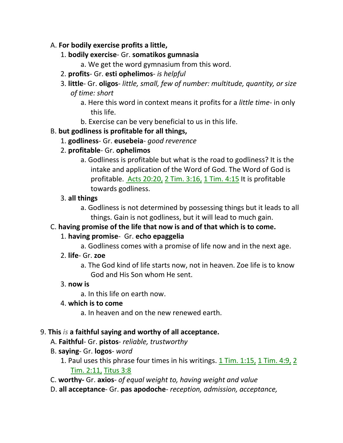## A. **For bodily exercise profits a little,**

- 1. **bodily exercise** Gr. **somatikos gumnasia**
	- a. We get the word gymnasium from this word.
- 2. **profits** Gr. **esti ophelimos** *is helpful*
- 3. **little** Gr. **oligos** *little, small, few of number: multitude, quantity, or size of time: short*
	- a. Here this word in context means it profits for a *little time* in only this life.
	- b. Exercise can be very beneficial to us in this life.

## B. **but godliness is profitable for all things,**

- 1. **godliness** Gr. **eusebeia** *good reverence*
- 2. **profitable** Gr. **ophelimos**
	- a. Godliness is profitable but what is the road to godliness? It is the intake and application of the Word of God. The Word of God is profitable. Acts 20:20, 2 Tim. 3:16, 1 Tim. 4:15 It is profitable towards godliness.

#### 3. **all things**

a. Godliness is not determined by possessing things but it leads to all things. Gain is not godliness, but it will lead to much gain.

## C. **having promise of the life that now is and of that which is to come.**

## 1. **having promise**- Gr. **echo epaggelia**

- a. Godliness comes with a promise of life now and in the next age.
- 2. **life** Gr. **zoe**
	- a. The God kind of life starts now, not in heaven. Zoe life is to know God and His Son whom He sent.

#### 3. **now is**

a. In this life on earth now.

#### 4. **which is to come**

a. In heaven and on the new renewed earth.

## 9. **This** *is* **a faithful saying and worthy of all acceptance.**

- A. **Faithful** Gr. **pistos** *reliable, trustworthy*
- B. **saying** Gr. **logos** *word*
	- 1. Paul uses this phrase four times in his writings.  $1$  Tim.  $1:15$ ,  $1$  Tim.  $4:9$ ,  $2$ Tim. 2:11, Titus 3:8
- C. **worthy-** Gr. **axios** *of equal weight to, having weight and value*
- D. **all acceptance** Gr. **pas apodoche** *reception, admission, acceptance,*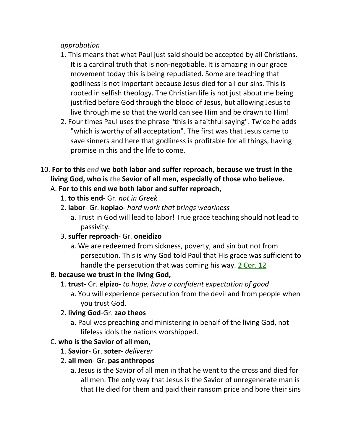#### *approbation*

- 1. This means that what Paul just said should be accepted by all Christians. It is a cardinal truth that is non-negotiable. It is amazing in our grace movement today this is being repudiated. Some are teaching that godliness is not important because Jesus died for all our sins. This is rooted in selfish theology. The Christian life is not just about me being justified before God through the blood of Jesus, but allowing Jesus to live through me so that the world can see Him and be drawn to Him!
- 2. Four times Paul uses the phrase "this is a faithful saying". Twice he adds "which is worthy of all acceptation". The first was that Jesus came to save sinners and here that godliness is profitable for all things, having promise in this and the life to come.
- 10. **For to this** *end* **we both labor and suffer reproach, because we trust in the living God, who is** *the* **Savior of all men, especially of those who believe.**

## A. **For to this end we both labor and suffer reproach,**

- 1. **to this end** Gr. *not in Greek*
- 2. **labor** Gr. **kopiao** *hard work that brings weariness*
	- a. Trust in God will lead to labor! True grace teaching should not lead to passivity.
- 3. **suffer reproach** Gr. **oneidizo**
	- a. We are redeemed from sickness, poverty, and sin but not from persecution. This is why God told Paul that His grace was sufficient to handle the persecution that was coming his way. 2 Cor. 12

## B. **because we trust in the living God,**

- 1. **trust** Gr. **elpizo** *to hope, have a confident expectation of good*
	- a. You will experience persecution from the devil and from people when you trust God.

## 2. **living God**-Gr. **zao theos**

a. Paul was preaching and ministering in behalf of the living God, not lifeless idols the nations worshipped.

## C. **who is the Savior of all men,**

- 1. **Savior** Gr. **soter** *deliverer*
- 2. **all men** Gr. **pas anthropos**
	- a. Jesus is the Savior of all men in that he went to the cross and died for all men. The only way that Jesus is the Savior of unregenerate man is that He died for them and paid their ransom price and bore their sins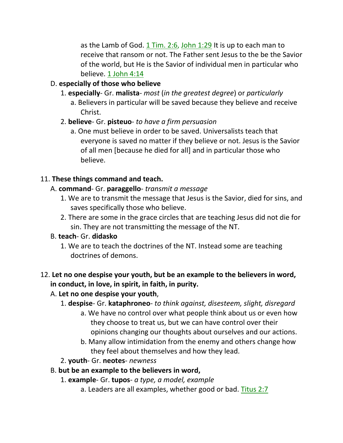as the Lamb of God.  $1$  Tim. 2:6, John  $1:29$  It is up to each man to receive that ransom or not. The Father sent Jesus to the be the Savior of the world, but He is the Savior of individual men in particular who believe. 1 John 4:14

## D. **especially of those who believe**

- 1. **especially** Gr. **malista** *most* (*in the greatest degree*) or *particularly*
	- a. Believers in particular will be saved because they believe and receive Christ.
- 2. **believe** Gr. **pisteuo** *to have a firm persuasion*
	- a. One must believe in order to be saved. Universalists teach that everyone is saved no matter if they believe or not. Jesus is the Savior of all men [because he died for all] and in particular those who believe.

## 11. **These things command and teach.**

## A. **command**- Gr. **paraggello**- *transmit a message*

- 1. We are to transmit the message that Jesus is the Savior, died for sins, and saves specifically those who believe.
- 2. There are some in the grace circles that are teaching Jesus did not die for sin. They are not transmitting the message of the NT.

## B. **teach**- Gr. **didasko**

1. We are to teach the doctrines of the NT. Instead some are teaching doctrines of demons.

#### 12. **Let no one despise your youth, but be an example to the believers in word, in conduct, in love, in spirit, in faith, in purity.**

## A. **Let no one despise your youth**,

- 1. **despise** Gr. **kataphroneo** *to think against, disesteem, slight, disregard*
	- a. We have no control over what people think about us or even how they choose to treat us, but we can have control over their opinions changing our thoughts about ourselves and our actions.
	- b. Many allow intimidation from the enemy and others change how they feel about themselves and how they lead.
- 2. **youth** Gr. **neotes** *newness*

## B. **but be an example to the believers in word,**

- 1. **example** Gr. **tupos** *a type, a model, example*
	- a. Leaders are all examples, whether good or bad. Titus 2:7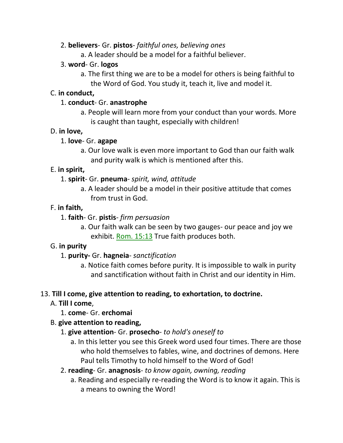#### 2. **believers**- Gr. **pistos**- *faithful ones, believing ones*

a. A leader should be a model for a faithful believer.

#### 3. **word**- Gr. **logos**

a. The first thing we are to be a model for others is being faithful to the Word of God. You study it, teach it, live and model it.

#### C. **in conduct,**

#### 1. **conduct**- Gr. **anastrophe**

a. People will learn more from your conduct than your words. More is caught than taught, especially with children!

#### D. **in love,**

#### 1. **love**- Gr. **agape**

a. Our love walk is even more important to God than our faith walk and purity walk is which is mentioned after this.

## E. **in spirit,**

- 1. **spirit** Gr. **pneuma** *spirit, wind, attitude*
	- a. A leader should be a model in their positive attitude that comes from trust in God.

## F. **in faith,**

- 1. **faith** Gr. **pistis** *firm persuasion*
	- a. Our faith walk can be seen by two gauges- our peace and joy we exhibit. Rom. 15:13 True faith produces both.

## G. **in purity**

- 1. **purity-** Gr. **hagneia** *sanctification*
	- a. Notice faith comes before purity. It is impossible to walk in purity and sanctification without faith in Christ and our identity in Him.

## 13. **Till I come, give attention to reading, to exhortation, to doctrine.**

- A. **Till I come**,
	- 1. **come** Gr. **erchomai**

## B. **give attention to reading,**

## 1. **give attention**- Gr. **prosecho**- *to hold's oneself to*

- a. In this letter you see this Greek word used four times. There are those who hold themselves to fables, wine, and doctrines of demons. Here Paul tells Timothy to hold himself to the Word of God!
- 2. **reading** Gr. **anagnosis** *to know again, owning, reading*
	- a. Reading and especially re-reading the Word is to know it again. This is a means to owning the Word!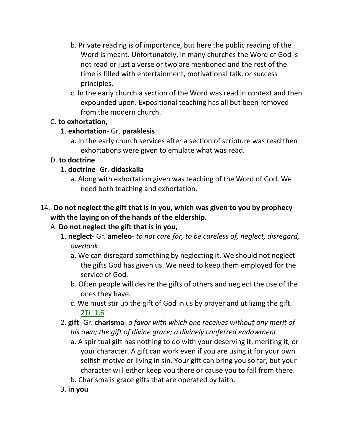- b. Private reading is of importance, but here the public reading of the Word is meant. Unfortunately, in many churches the Word of God is not read or just a verse or two are mentioned and the rest of the time is filled with entertainment, motivational talk, or success principles.
- c. In the early church a section of the Word was read in context and then expounded upon. Expositional teaching has all but been removed from the modern church.

## C. **to exhortation,**

## 1. **exhortation**- Gr. **paraklesis**

a. In the early church services after a section of scripture was read then exhortations were given to emulate what was read.

## D. **to doctrine**

## 1. **doctrine**- Gr. **didaskalia**

a. Along with exhortation given was teaching of the Word of God. We need both teaching and exhortation.

## 14. **Do not neglect the gift that is in you, which was given to you by prophecy with the laying on of the hands of the eldership.**

## A. **Do not neglect the gift that is in you,**

- 1. **neglect** Gr. **ameleo** *to not care for, to be careless of, neglect, disregard, overlook*
	- a. We can disregard something by neglecting it. We should not neglect the gifts God has given us. We need to keep them employed for the service of God.
	- b. Often people will desire the gifts of others and neglect the use of the ones they have.
	- c. We must stir up the gift of God in us by prayer and utilizing the gift. 2Ti\_1:6
- 2. **gift** Gr. **charisma** *a favor with which one receives without any merit of his own; the gift of divine grace; a divinely conferred endowment*
	- a. A spiritual gift has nothing to do with your deserving it, meriting it, or your character. A gift can work even if you are using it for your own selfish motive or living in sin. Your gift can bring you so far, but your character will either keep you there or cause you to fall from there.
	- b. Charisma is grace gifts that are operated by faith.
- 3. **in you**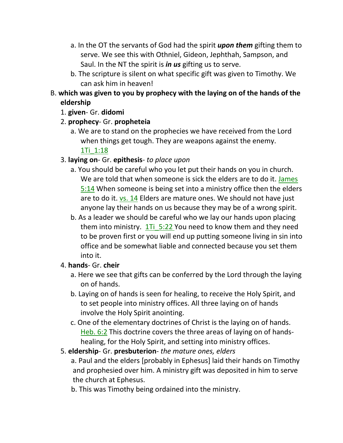- a. In the OT the servants of God had the spirit *upon them* gifting them to serve. We see this with Othniel, Gideon, Jephthah, Sampson, and Saul. In the NT the spirit is *in us* gifting us to serve.
- b. The scripture is silent on what specific gift was given to Timothy. We can ask him in heaven!
- B. **which was given to you by prophecy with the laying on of the hands of the eldership**
	- 1. **given** Gr. **didomi**
	- 2. **prophecy** Gr. **propheteia**
		- a. We are to stand on the prophecies we have received from the Lord when things get tough. They are weapons against the enemy. 1Ti\_1:18
	- 3. **laying on** Gr. **epithesis** *to place upon*
		- a. You should be careful who you let put their hands on you in church. We are told that when someone is sick the elders are to do it. James 5:14 When someone is being set into a ministry office then the elders are to do it. vs. 14 Elders are mature ones. We should not have just anyone lay their hands on us because they may be of a wrong spirit.
		- b. As a leader we should be careful who we lay our hands upon placing them into ministry.  $1\overline{1}$  5:22 You need to know them and they need to be proven first or you will end up putting someone living in sin into office and be somewhat liable and connected because you set them into it.
	- 4. **hands** Gr. **cheir**
		- a. Here we see that gifts can be conferred by the Lord through the laying on of hands.
		- b. Laying on of hands is seen for healing, to receive the Holy Spirit, and to set people into ministry offices. All three laying on of hands involve the Holy Spirit anointing.
		- c. One of the elementary doctrines of Christ is the laying on of hands. Heb. 6:2 This doctrine covers the three areas of laying on of handshealing, for the Holy Spirit, and setting into ministry offices.
	- 5. **eldership** Gr. **presbuterion** *the mature ones, elders*

 a. Paul and the elders [probably in Ephesus] laid their hands on Timothy and prophesied over him. A ministry gift was deposited in him to serve the church at Ephesus.

b. This was Timothy being ordained into the ministry.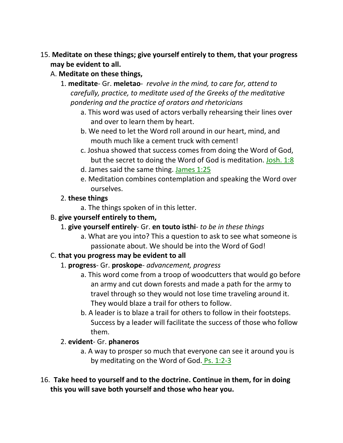## 15. **Meditate on these things; give yourself entirely to them, that your progress may be evident to all.**

- A. **Meditate on these things,**
	- 1. **meditate** Gr. **meletao** *revolve in the mind, to care for, attend to carefully, practice, to meditate used of the Greeks of the meditative pondering and the practice of orators and rhetoricians*
		- a. This word was used of actors verbally rehearsing their lines over and over to learn them by heart.
		- b. We need to let the Word roll around in our heart, mind, and mouth much like a cement truck with cement!
		- c. Joshua showed that success comes from doing the Word of God, but the secret to doing the Word of God is meditation. Josh. 1:8
		- d. James said the same thing. James 1:25
		- e. Meditation combines contemplation and speaking the Word over ourselves.
	- 2. **these things**
		- a. The things spoken of in this letter.
- B. **give yourself entirely to them,**
	- 1. **give yourself entirely** Gr. **en touto isthi** *to be in these things*
		- a. What are you into? This a question to ask to see what someone is passionate about. We should be into the Word of God!

## C. **that you progress may be evident to all**

## 1. **progress**- Gr. **proskope**- *advancement, progress*

- a. This word come from a troop of woodcutters that would go before an army and cut down forests and made a path for the army to travel through so they would not lose time traveling around it. They would blaze a trail for others to follow.
- b. A leader is to blaze a trail for others to follow in their footsteps. Success by a leader will facilitate the success of those who follow them.

## 2. **evident**- Gr. **phaneros**

- a. A way to prosper so much that everyone can see it around you is by meditating on the Word of God. Ps. 1:2-3
- 16. **Take heed to yourself and to the doctrine. Continue in them, for in doing this you will save both yourself and those who hear you.**